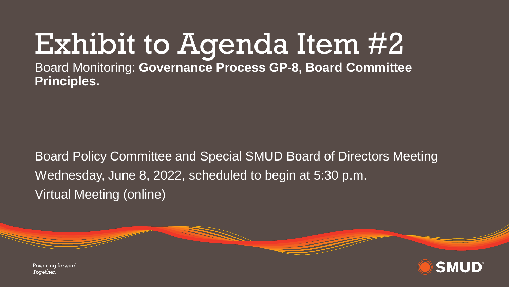## Exhibit to Agenda Item #2

Board Monitoring: **Governance Process GP-8, Board Committee Principles.**

Board Policy Committee and Special SMUD Board of Directors Meeting Wednesday, June 8, 2022, scheduled to begin at 5:30 p.m. Virtual Meeting (online)



Powering forward. Together.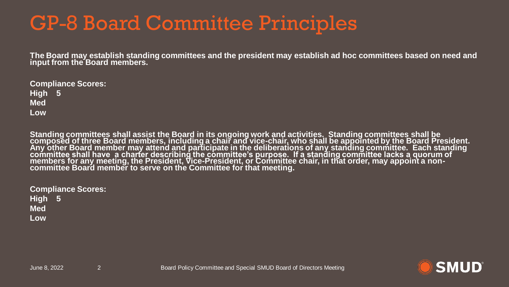## GP-8 Board Committee Principles

**The Board may establish standing committees and the president may establish ad hoc committees based on need and input from the Board members.** 

| <b>Compliance Scores:</b> |  |  |
|---------------------------|--|--|
| High 5                    |  |  |
| <b>Med</b>                |  |  |
| Low                       |  |  |

**Standing committees shall assist the Board in its ongoing work and activities. Standing committees shall be composed of three Board members, including a chair and vice-chair, who shall be appointed by the Board President. Any other Board member may attend and participate in the deliberations of any standing committee. Each standing committee shall have a charter describing the committee's purpose. If a standing committee lacks a quorum of members for any meeting, the President, Vice-President, or Committee chair, in that order, may appoint a noncommittee Board member to serve on the Committee for that meeting.** 

| <b>Compliance Scores:</b> |  |  |
|---------------------------|--|--|
| High $5$                  |  |  |
| <b>Med</b>                |  |  |
| Low                       |  |  |

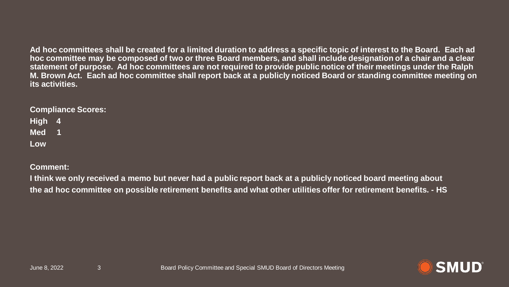**Ad hoc committees shall be created for a limited duration to address a specific topic of interest to the Board. Each ad hoc committee may be composed of two or three Board members, and shall include designation of a chair and a clear statement of purpose. Ad hoc committees are not required to provide public notice of their meetings under the Ralph M. Brown Act. Each ad hoc committee shall report back at a publicly noticed Board or standing committee meeting on its activities.**

## **Compliance Scores:**

| <b>High</b> | 4  |
|-------------|----|
| <b>Med</b>  | 41 |
| Low         |    |

**Comment:**

**I think we only received a memo but never had a public report back at a publicly noticed board meeting about the ad hoc committee on possible retirement benefits and what other utilities offer for retirement benefits. - HS**

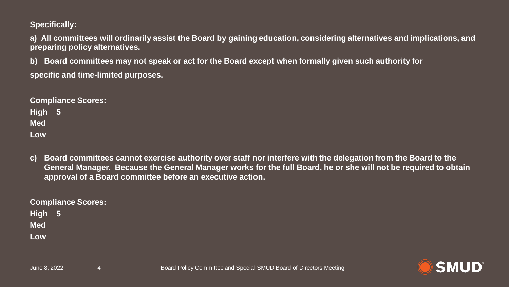**Specifically:**

**a) All committees will ordinarily assist the Board by gaining education, considering alternatives and implications, and preparing policy alternatives.** 

**b) Board committees may not speak or act for the Board except when formally given such authority for specific and time-limited purposes.**

**Compliance Scores: High 5 Med Low**

**c) Board committees cannot exercise authority over staff nor interfere with the delegation from the Board to the General Manager. Because the General Manager works for the full Board, he or she will not be required to obtain approval of a Board committee before an executive action.**

**Compliance Scores:**

**High 5 Med Low**